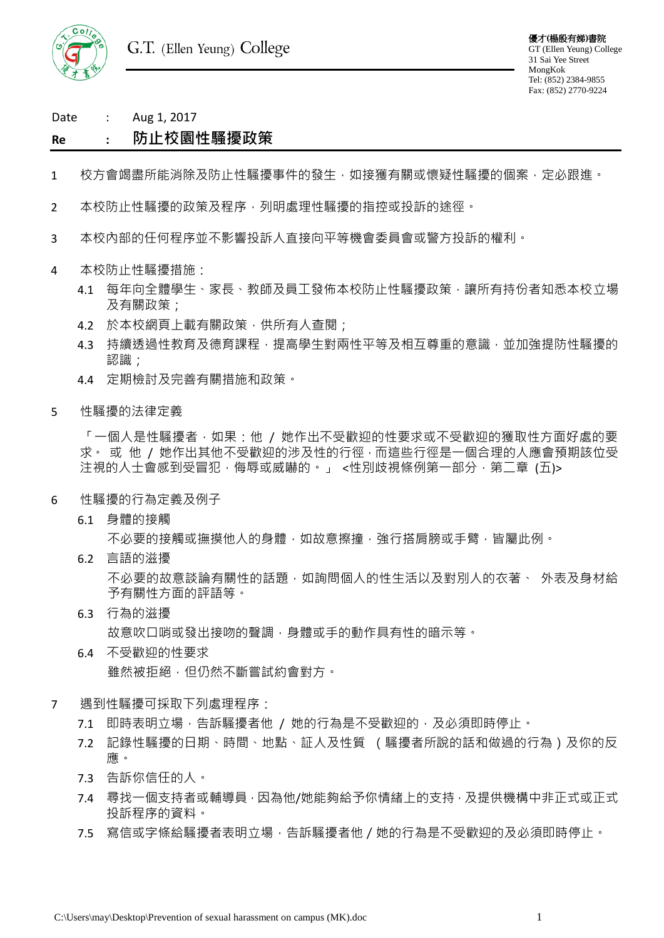

Date : Aug 1, 2017

# **Re : 防止校園性騷擾政策**

- 1 校方會竭盡所能消除及防止性騷擾事件的發生,如接獲有關或懷疑性騷擾的個案,定必跟進。
- 2 本校防止性騷擾的政策及程序,列明處理性騷擾的指控或投訴的途徑。
- 3 本校內部的任何程序並不影響投訴人直接向平等機會委員會或警方投訴的權利。
- 4 本校防止性騷擾措施:
	- 4.1 每年向全體學生、家長、教師及員工發佈本校防止性騷擾政策,讓所有持份者知悉本校立場 及有關政策;
	- 4.2 於本校網頁上載有關政策,供所有人查閱;
	- 4.3 持續透過性教育及德育課程,提高學生對兩性平等及相互尊重的意識,並加強提防性騷擾的 認識;
	- 4.4 定期檢討及完善有關措施和政策。
- 5 性騷擾的法律定義

「一個人是性騷擾者,如果:他 / 她作出不受歡迎的性要求或不受歡迎的獲取性方面好處的要 求。 或 他 / 她作出其他不受歡迎的涉及性的行徑, 而這些行徑是一個合理的人應會預期該位受 注視的人士會感到受冒犯,侮辱或威嚇的。」 <性別歧視條例第一部分,第二章 (五)>

- 6 性騷擾的行為定義及例子
	- 6.1 身體的接觸

不必要的接觸或撫摸他人的身體,如故意擦撞,強行搭肩膀或手臂,皆屬此例。

6.2 言語的滋擾

不必要的故意談論有關性的話題,如詢問個人的性生活以及對別人的衣著、 外表及身材給 予有關性方面的評語等。

- 6.3 行為的滋擾 故意吹口哨或發出接吻的聲調,身體或手的動作具有性的暗示等。
- 6.4 不受歡迎的性要求 雖然被拒絕,但仍然不斷嘗試約會對方。
- 7 遇到性騷擾可採取下列處理程序:
	- 7.1 即時表明立場,告訴騷擾者他 / 她的行為是不受歡迎的,及必須即時停止。
	- 7.2 記錄性騷擾的日期、時間、地點、証人及性質 (騷擾者所說的話和做過的行為)及你的反 應。
	- 7.3 告訴你信任的人。
	- 7.4 尋找一個支持者或輔導員,因為他/她能夠給予你情緒上的支持,及提供機構中非正式或正式 投訴程序的資料。
	- 7.5 寫信或字條給騷擾者表明立場,告訴騷擾者他/她的行為是不受歡迎的及必須即時停止。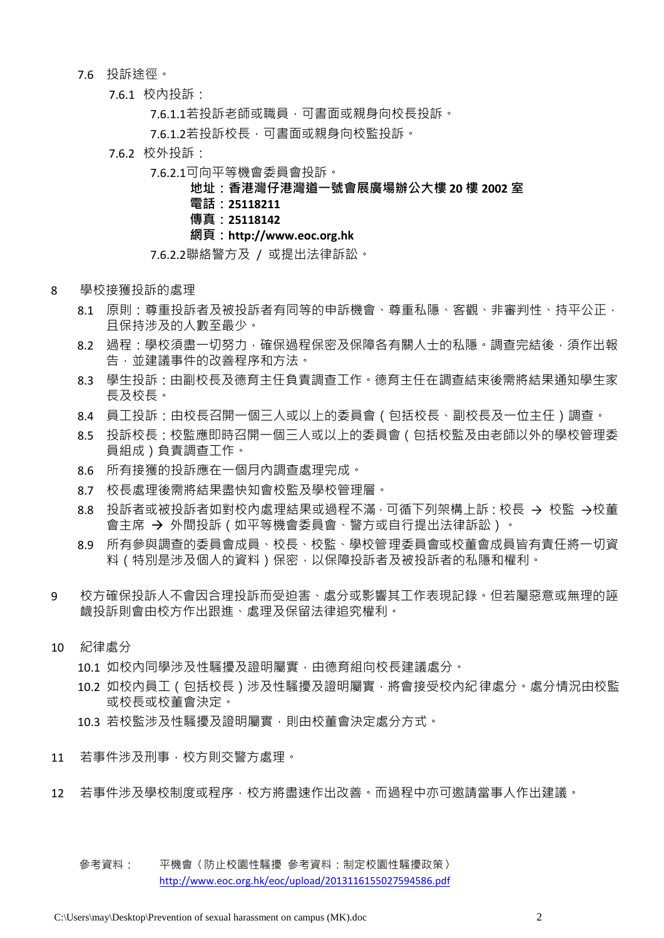## 7.6 投訴途徑。

7.6.1 校內投訴:

7.6.1.1若投訴老師或職員,可書面或親身向校長投訴。

7.6.1.2若投訴校長,可書面或親身向校監投訴。

- 7.6.2 校外投訴:
	- 7.6.2.1可向平等機會委員會投訴。

## **地址:香港灣仔港灣道一號會展廣場辦公大樓 20 樓 2002 室**

- **電話:25118211**
- **傳真:25118142**

#### **網頁:http://www.eoc.org.hk**

## 7.6.2.2聯絡警方及 / 或提出法律訴訟。

- 8 學校接獲投訴的處理
	- 8.1 原則:尊重投訴者及被投訴者有同等的申訴機會、尊重私隱、客觀、非審判性、持平公正, 且保持涉及的人數至最少。
	- 8.2 過程:學校須盡一切努力,確保過程保密及保障各有關人士的私隱。調查完結後,須作出報 告,並建議事件的改善程序和方法。
	- 8.3 學生投訴:由副校長及德育主任負責調查工作。德育主任在調查結束後需將結果通知學生家 長及校長。
	- 8.4 員工投訴:由校長召開一個三人或以上的委員會 (包括校長、副校長及一位主任)調查。
	- 8.5 投訴校長:校監應即時召開一個三人或以上的委員會(包括校監及由老師以外的學校管理委 員組成)負責調查工作。
	- 8.6 所有接獲的投訴應在一個月內調查處理完成。
	- 8.7 校長處理後需將結果盡快知會校監及學校管理層。
	- 8.8 投訴者或被投訴者如對校內處理結果或過程不滿,可循下列架構上訴:校長 → 校監 →校董 會主席 → 外間投訴 (如平等機會委員會、警方或自行提出法律訴訟)。
	- 8.9 所有參與調查的委員會成員、校長、校監、學校管理委員會或校董會成員皆有責任將一切資 料 ( 特別是涉及個人的資料 ) 保密, 以保障投訴者及被投訴者的私隱和權利。
- 9 校方確保投訴人不會因合理投訴而受迫害、處分或影響其工作表現記錄。但若屬惡意或無理的誣 衊投訴則會由校方作出跟進、處理及保留法律追究權利。
- 10 紀律處分

10.1 如校內同學涉及性騷擾及證明屬實,由德育組向校長建議處分。

10.2 如校內員工 (包括校長)涉及性騷擾及證明屬實,將會接受校內紀律處分。處分情況由校監 或校長或校董會決定。

10.3 若校監涉及性騷擾及證明屬實,則由校董會決定處分方式。

- 11 若事件涉及刑事,校方則交警方處理。
- 12 若事件涉及學校制度或程序,校方將盡速作出改善。而過程中亦可邀請當事人作出建議。
	- 參考資料: 平機會〈防止校園性騷擾 參考資料:制定校園性騷擾政策〉 <http://www.eoc.org.hk/eoc/upload/2013116155027594586.pdf>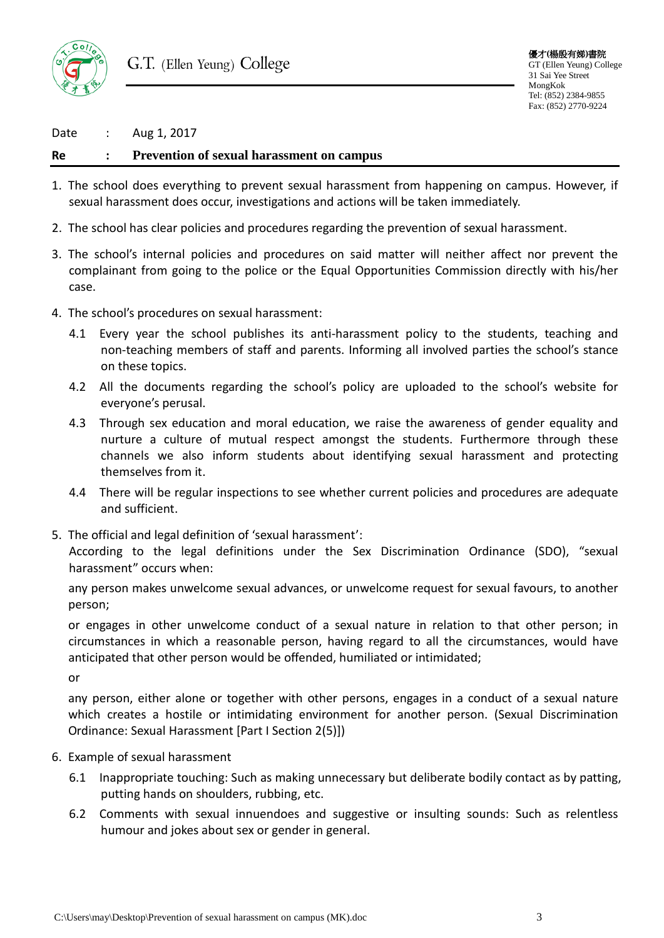

Date : Aug 1, 2017

## **Re : Prevention of sexual harassment on campus**

- 1. The school does everything to prevent sexual harassment from happening on campus. However, if sexual harassment does occur, investigations and actions will be taken immediately.
- 2. The school has clear policies and procedures regarding the prevention of sexual harassment.
- 3. The school's internal policies and procedures on said matter will neither affect nor prevent the complainant from going to the police or the Equal Opportunities Commission directly with his/her case.
- 4. The school's procedures on sexual harassment:
	- 4.1 Every year the school publishes its anti-harassment policy to the students, teaching and non-teaching members of staff and parents. Informing all involved parties the school's stance on these topics.
	- 4.2 All the documents regarding the school's policy are uploaded to the school's website for everyone's perusal.
	- 4.3 Through sex education and moral education, we raise the awareness of gender equality and nurture a culture of mutual respect amongst the students. Furthermore through these channels we also inform students about identifying sexual harassment and protecting themselves from it.
	- 4.4 There will be regular inspections to see whether current policies and procedures are adequate and sufficient.
- 5. The official and legal definition of 'sexual harassment':

According to the legal definitions under the Sex Discrimination Ordinance (SDO), "sexual harassment" occurs when:

any person makes unwelcome sexual advances, or unwelcome request for sexual favours, to another person;

or engages in other unwelcome conduct of a sexual nature in relation to that other person; in circumstances in which a reasonable person, having regard to all the circumstances, would have anticipated that other person would be offended, humiliated or intimidated;

or

any person, either alone or together with other persons, engages in a conduct of a sexual nature which creates a hostile or intimidating environment for another person. (Sexual Discrimination Ordinance: Sexual Harassment [Part I Section 2(5)])

- 6. Example of sexual harassment
	- 6.1 Inappropriate touching: Such as making unnecessary but deliberate bodily contact as by patting, putting hands on shoulders, rubbing, etc.
	- 6.2 Comments with sexual innuendoes and suggestive or insulting sounds: Such as relentless humour and jokes about sex or gender in general.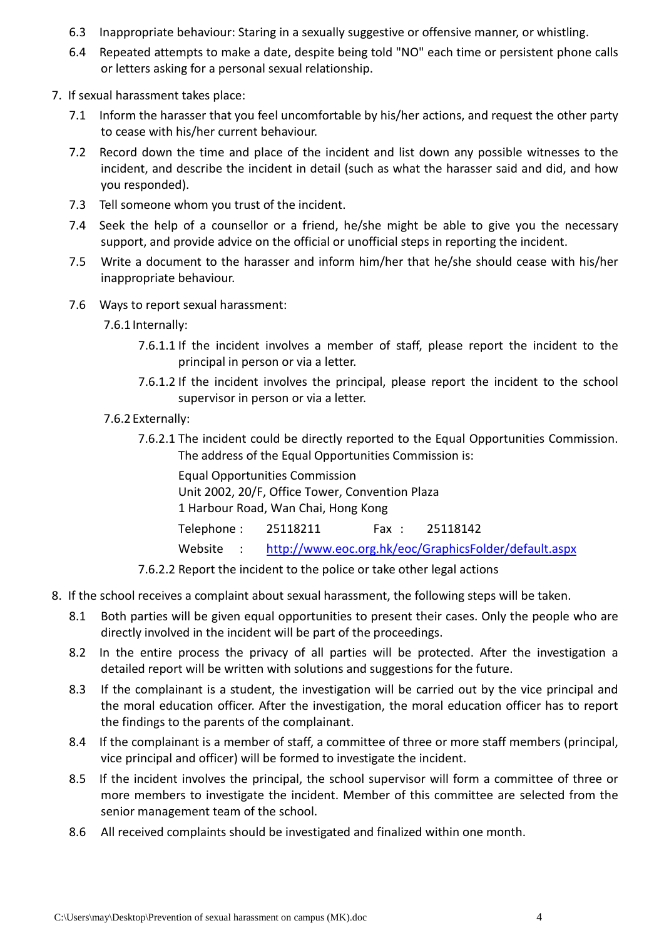- 6.3 Inappropriate behaviour: Staring in a sexually suggestive or offensive manner, or whistling.
- 6.4 Repeated attempts to make a date, despite being told "NO" each time or persistent phone calls or letters asking for a personal sexual relationship.
- 7. If sexual harassment takes place:
	- 7.1 Inform the harasser that you feel uncomfortable by his/her actions, and request the other party to cease with his/her current behaviour.
	- 7.2 Record down the time and place of the incident and list down any possible witnesses to the incident, and describe the incident in detail (such as what the harasser said and did, and how you responded).
	- 7.3 Tell someone whom you trust of the incident.
	- 7.4 Seek the help of a counsellor or a friend, he/she might be able to give you the necessary support, and provide advice on the official or unofficial steps in reporting the incident.
	- 7.5 Write a document to the harasser and inform him/her that he/she should cease with his/her inappropriate behaviour.
	- 7.6 Ways to report sexual harassment:

7.6.1 Internally:

- 7.6.1.1 If the incident involves a member of staff, please report the incident to the principal in person or via a letter.
- 7.6.1.2 If the incident involves the principal, please report the incident to the school supervisor in person or via a letter.
- 7.6.2 Externally:
	- 7.6.2.1 The incident could be directly reported to the Equal Opportunities Commission. The address of the Equal Opportunities Commission is:

| <b>Equal Opportunities Commission</b>           |  |  |                                                                 |
|-------------------------------------------------|--|--|-----------------------------------------------------------------|
| Unit 2002, 20/F, Office Tower, Convention Plaza |  |  |                                                                 |
| 1 Harbour Road, Wan Chai, Hong Kong             |  |  |                                                                 |
| Telephone: 25118211                             |  |  | Fax: 25118142                                                   |
|                                                 |  |  | Website : http://www.eoc.org.hk/eoc/GraphicsFolder/default.aspx |

7.6.2.2 Report the incident to the police or take other legal actions

- 8. If the school receives a complaint about sexual harassment, the following steps will be taken.
	- 8.1 Both parties will be given equal opportunities to present their cases. Only the people who are directly involved in the incident will be part of the proceedings.
	- 8.2 In the entire process the privacy of all parties will be protected. After the investigation a detailed report will be written with solutions and suggestions for the future.
	- 8.3 If the complainant is a student, the investigation will be carried out by the vice principal and the moral education officer. After the investigation, the moral education officer has to report the findings to the parents of the complainant.
	- 8.4 If the complainant is a member of staff, a committee of three or more staff members (principal, vice principal and officer) will be formed to investigate the incident.
	- 8.5 If the incident involves the principal, the school supervisor will form a committee of three or more members to investigate the incident. Member of this committee are selected from the senior management team of the school.
	- 8.6 All received complaints should be investigated and finalized within one month.